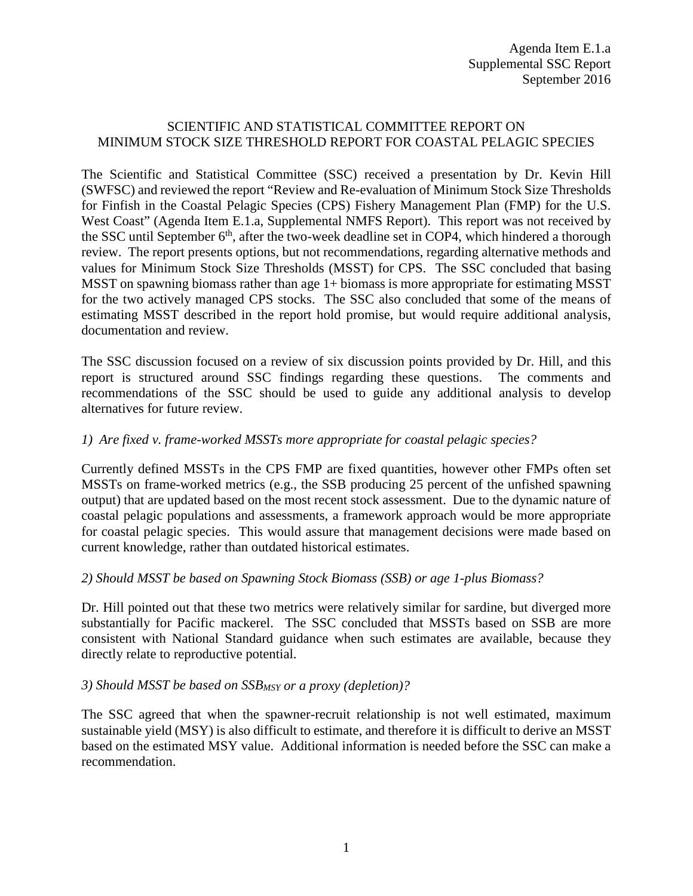# SCIENTIFIC AND STATISTICAL COMMITTEE REPORT ON MINIMUM STOCK SIZE THRESHOLD REPORT FOR COASTAL PELAGIC SPECIES

The Scientific and Statistical Committee (SSC) received a presentation by Dr. Kevin Hill (SWFSC) and reviewed the report "Review and Re-evaluation of Minimum Stock Size Thresholds for Finfish in the Coastal Pelagic Species (CPS) Fishery Management Plan (FMP) for the U.S. West Coast" (Agenda Item E.1.a, Supplemental NMFS Report). This report was not received by the SSC until September  $6<sup>th</sup>$ , after the two-week deadline set in COP4, which hindered a thorough review. The report presents options, but not recommendations, regarding alternative methods and values for Minimum Stock Size Thresholds (MSST) for CPS. The SSC concluded that basing MSST on spawning biomass rather than age 1+ biomass is more appropriate for estimating MSST for the two actively managed CPS stocks. The SSC also concluded that some of the means of estimating MSST described in the report hold promise, but would require additional analysis, documentation and review.

The SSC discussion focused on a review of six discussion points provided by Dr. Hill, and this report is structured around SSC findings regarding these questions. The comments and recommendations of the SSC should be used to guide any additional analysis to develop alternatives for future review.

## *1) Are fixed v. frame-worked MSSTs more appropriate for coastal pelagic species?*

Currently defined MSSTs in the CPS FMP are fixed quantities, however other FMPs often set MSSTs on frame-worked metrics (e.g., the SSB producing 25 percent of the unfished spawning output) that are updated based on the most recent stock assessment. Due to the dynamic nature of coastal pelagic populations and assessments, a framework approach would be more appropriate for coastal pelagic species. This would assure that management decisions were made based on current knowledge, rather than outdated historical estimates.

#### *2) Should MSST be based on Spawning Stock Biomass (SSB) or age 1-plus Biomass?*

Dr. Hill pointed out that these two metrics were relatively similar for sardine, but diverged more substantially for Pacific mackerel. The SSC concluded that MSSTs based on SSB are more consistent with National Standard guidance when such estimates are available, because they directly relate to reproductive potential.

#### *3) Should MSST be based on SSBMSY or a proxy (depletion)?*

The SSC agreed that when the spawner-recruit relationship is not well estimated, maximum sustainable yield (MSY) is also difficult to estimate, and therefore it is difficult to derive an MSST based on the estimated MSY value. Additional information is needed before the SSC can make a recommendation.